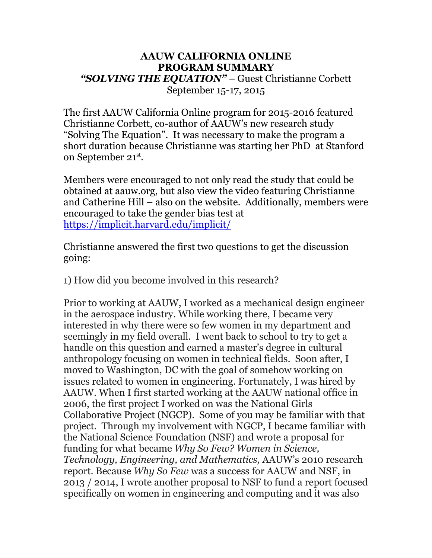## **AAUW CALIFORNIA ONLINE PROGRAM SUMMARY** *"SOLVING THE EQUATION"* – Guest Christianne Corbett September 15-17, 2015

The first AAUW California Online program for 2015-2016 featured Christianne Corbett, co-author of AAUW's new research study "Solving The Equation". It was necessary to make the program a short duration because Christianne was starting her PhD at Stanford on September 21st.

Members were encouraged to not only read the study that could be obtained at aauw.org, but also view the video featuring Christianne and Catherine Hill – also on the website. Additionally, members were encouraged to take the gender bias test at https://implicit.harvard.edu/implicit/

Christianne answered the first two questions to get the discussion going:

1) How did you become involved in this research?

Prior to working at AAUW, I worked as a mechanical design engineer in the aerospace industry. While working there, I became very interested in why there were so few women in my department and seemingly in my field overall. I went back to school to try to get a handle on this question and earned a master's degree in cultural anthropology focusing on women in technical fields. Soon after, I moved to Washington, DC with the goal of somehow working on issues related to women in engineering. Fortunately, I was hired by AAUW. When I first started working at the AAUW national office in 2006, the first project I worked on was the National Girls Collaborative Project (NGCP). Some of you may be familiar with that project. Through my involvement with NGCP, I became familiar with the National Science Foundation (NSF) and wrote a proposal for funding for what became *Why So Few? Women in Science, Technology, Engineering, and Mathematics,* AAUW's 2010 research report. Because *Why So Few* was a success for AAUW and NSF, in 2013 / 2014, I wrote another proposal to NSF to fund a report focused specifically on women in engineering and computing and it was also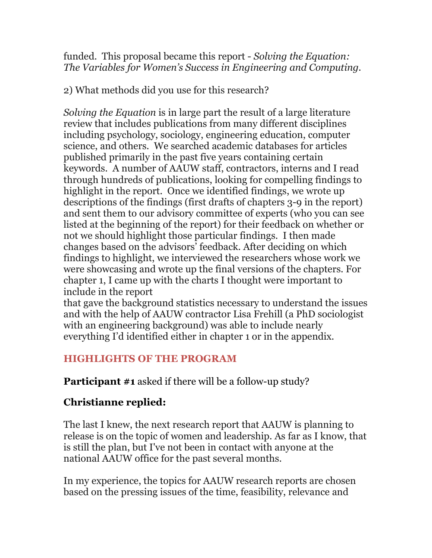funded. This proposal became this report - *Solving the Equation: The Variables for Women's Success in Engineering and Computing.*

2) What methods did you use for this research?

*Solving the Equation* is in large part the result of a large literature review that includes publications from many different disciplines including psychology, sociology, engineering education, computer science, and others. We searched academic databases for articles published primarily in the past five years containing certain keywords. A number of AAUW staff, contractors, interns and I read through hundreds of publications, looking for compelling findings to highlight in the report. Once we identified findings, we wrote up descriptions of the findings (first drafts of chapters 3-9 in the report) and sent them to our advisory committee of experts (who you can see listed at the beginning of the report) for their feedback on whether or not we should highlight those particular findings. I then made changes based on the advisors' feedback. After deciding on which findings to highlight, we interviewed the researchers whose work we were showcasing and wrote up the final versions of the chapters. For chapter 1, I came up with the charts I thought were important to include in the report

that gave the background statistics necessary to understand the issues and with the help of AAUW contractor Lisa Frehill (a PhD sociologist with an engineering background) was able to include nearly everything I'd identified either in chapter 1 or in the appendix.

## **HIGHLIGHTS OF THE PROGRAM**

**Participant #1** asked if there will be a follow-up study?

## **Christianne replied:**

The last I knew, the next research report that AAUW is planning to release is on the topic of women and leadership. As far as I know, that is still the plan, but I've not been in contact with anyone at the national AAUW office for the past several months.

In my experience, the topics for AAUW research reports are chosen based on the pressing issues of the time, feasibility, relevance and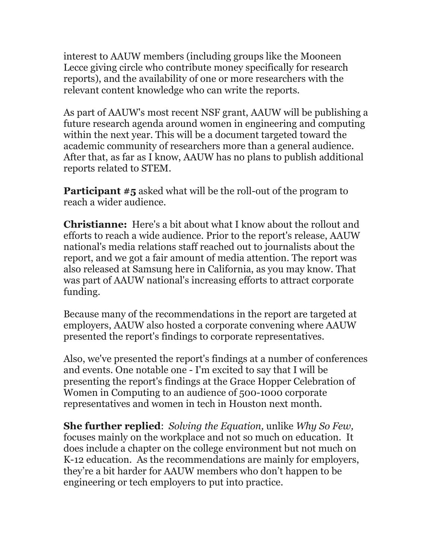interest to AAUW members (including groups like the Mooneen Lecce giving circle who contribute money specifically for research reports), and the availability of one or more researchers with the relevant content knowledge who can write the reports.

As part of AAUW's most recent NSF grant, AAUW will be publishing a future research agenda around women in engineering and computing within the next year. This will be a document targeted toward the academic community of researchers more than a general audience. After that, as far as I know, AAUW has no plans to publish additional reports related to STEM.

**Participant #5** asked what will be the roll-out of the program to reach a wider audience.

**Christianne:** Here's a bit about what I know about the rollout and efforts to reach a wide audience. Prior to the report's release, AAUW national's media relations staff reached out to journalists about the report, and we got a fair amount of media attention. The report was also released at Samsung here in California, as you may know. That was part of AAUW national's increasing efforts to attract corporate funding.

Because many of the recommendations in the report are targeted at employers, AAUW also hosted a corporate convening where AAUW presented the report's findings to corporate representatives.

Also, we've presented the report's findings at a number of conferences and events. One notable one - I'm excited to say that I will be presenting the report's findings at the Grace Hopper Celebration of Women in Computing to an audience of 500-1000 corporate representatives and women in tech in Houston next month.

**She further replied**: *Solving the Equation,* unlike *Why So Few,*  focuses mainly on the workplace and not so much on education. It does include a chapter on the college environment but not much on K-12 education. As the recommendations are mainly for employers, they're a bit harder for AAUW members who don't happen to be engineering or tech employers to put into practice.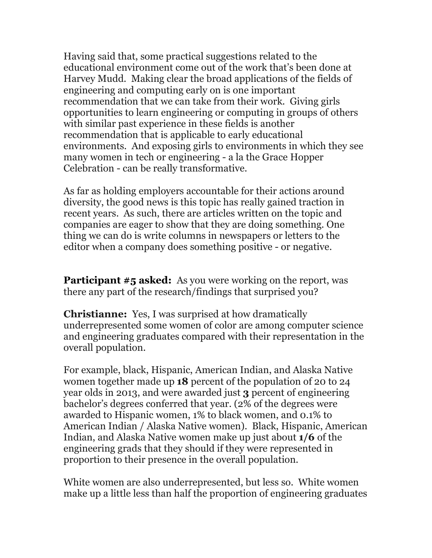Having said that, some practical suggestions related to the educational environment come out of the work that's been done at Harvey Mudd. Making clear the broad applications of the fields of engineering and computing early on is one important recommendation that we can take from their work. Giving girls opportunities to learn engineering or computing in groups of others with similar past experience in these fields is another recommendation that is applicable to early educational environments. And exposing girls to environments in which they see many women in tech or engineering - a la the Grace Hopper Celebration - can be really transformative.

As far as holding employers accountable for their actions around diversity, the good news is this topic has really gained traction in recent years. As such, there are articles written on the topic and companies are eager to show that they are doing something. One thing we can do is write columns in newspapers or letters to the editor when a company does something positive - or negative.

**Participant #5 asked:** As you were working on the report, was there any part of the research/findings that surprised you?

**Christianne:** Yes, I was surprised at how dramatically underrepresented some women of color are among computer science and engineering graduates compared with their representation in the overall population.

For example, black, Hispanic, American Indian, and Alaska Native women together made up **18** percent of the population of 20 to 24 year olds in 2013, and were awarded just **3** percent of engineering bachelor's degrees conferred that year. (2% of the degrees were awarded to Hispanic women, 1% to black women, and 0.1% to American Indian / Alaska Native women). Black, Hispanic, American Indian, and Alaska Native women make up just about **1/6** of the engineering grads that they should if they were represented in proportion to their presence in the overall population.

White women are also underrepresented, but less so. White women make up a little less than half the proportion of engineering graduates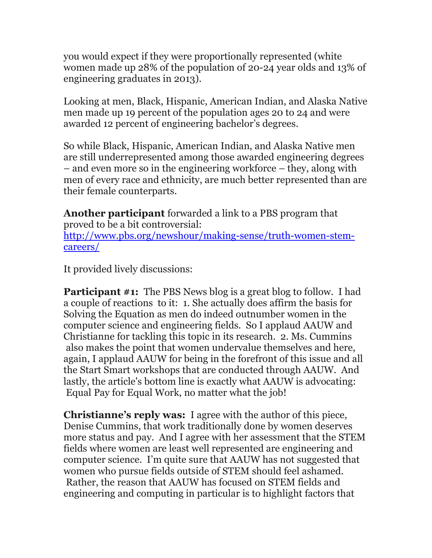you would expect if they were proportionally represented (white women made up 28% of the population of 20-24 year olds and 13% of engineering graduates in 2013).

Looking at men, Black, Hispanic, American Indian, and Alaska Native men made up 19 percent of the population ages 20 to 24 and were awarded 12 percent of engineering bachelor's degrees.

So while Black, Hispanic, American Indian, and Alaska Native men are still underrepresented among those awarded engineering degrees – and even more so in the engineering workforce – they, along with men of every race and ethnicity, are much better represented than are their female counterparts.

**Another participant** forwarded a link to a PBS program that proved to be a bit controversial: http://www.pbs.org/newshour/making-sense/truth-women-stemcareers/

It provided lively discussions:

**Participant #1:** The PBS News blog is a great blog to follow. I had a couple of reactions to it: 1. She actually does affirm the basis for Solving the Equation as men do indeed outnumber women in the computer science and engineering fields. So I applaud AAUW and Christianne for tackling this topic in its research. 2. Ms. Cummins also makes the point that women undervalue themselves and here, again, I applaud AAUW for being in the forefront of this issue and all the Start Smart workshops that are conducted through AAUW. And lastly, the article's bottom line is exactly what AAUW is advocating: Equal Pay for Equal Work, no matter what the job!

**Christianne's reply was:** I agree with the author of this piece, Denise Cummins, that work traditionally done by women deserves more status and pay. And I agree with her assessment that the STEM fields where women are least well represented are engineering and computer science. I'm quite sure that AAUW has not suggested that women who pursue fields outside of STEM should feel ashamed. Rather, the reason that AAUW has focused on STEM fields and engineering and computing in particular is to highlight factors that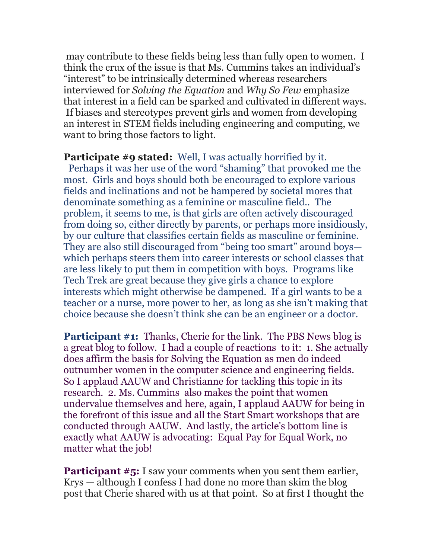may contribute to these fields being less than fully open to women. I think the crux of the issue is that Ms. Cummins takes an individual's "interest" to be intrinsically determined whereas researchers interviewed for *Solving the Equation* and *Why So Few* emphasize that interest in a field can be sparked and cultivated in different ways. If biases and stereotypes prevent girls and women from developing an interest in STEM fields including engineering and computing, we want to bring those factors to light.

**Participate #9 stated:** Well, I was actually horrified by it. Perhaps it was her use of the word "shaming" that provoked me the most. Girls and boys should both be encouraged to explore various fields and inclinations and not be hampered by societal mores that denominate something as a feminine or masculine field.. The problem, it seems to me, is that girls are often actively discouraged from doing so, either directly by parents, or perhaps more insidiously, by our culture that classifies certain fields as masculine or feminine. They are also still discouraged from "being too smart" around boys which perhaps steers them into career interests or school classes that are less likely to put them in competition with boys. Programs like Tech Trek are great because they give girls a chance to explore interests which might otherwise be dampened. If a girl wants to be a teacher or a nurse, more power to her, as long as she isn't making that choice because she doesn't think she can be an engineer or a doctor.

**Participant #1:** Thanks, Cherie for the link. The PBS News blog is a great blog to follow. I had a couple of reactions to it: 1. She actually does affirm the basis for Solving the Equation as men do indeed outnumber women in the computer science and engineering fields. So I applaud AAUW and Christianne for tackling this topic in its research. 2. Ms. Cummins also makes the point that women undervalue themselves and here, again, I applaud AAUW for being in the forefront of this issue and all the Start Smart workshops that are conducted through AAUW. And lastly, the article's bottom line is exactly what AAUW is advocating: Equal Pay for Equal Work, no matter what the job!

**Participant #5:** I saw your comments when you sent them earlier, Krys — although I confess I had done no more than skim the blog post that Cherie shared with us at that point. So at first I thought the